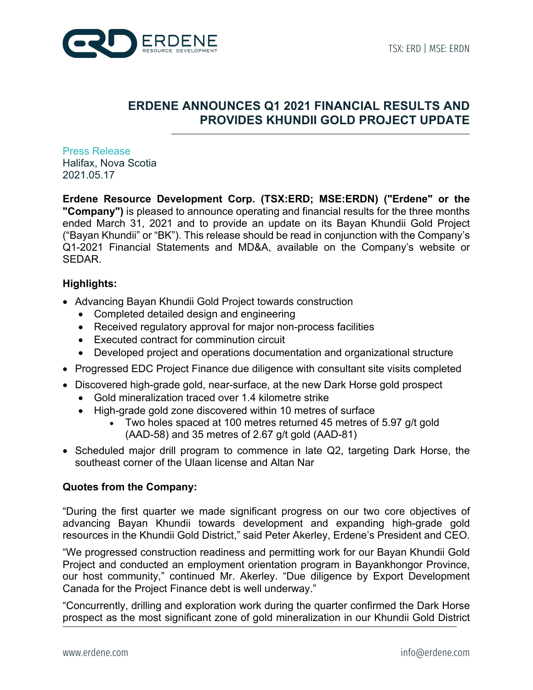

# **ERDENE ANNOUNCES Q1 2021 FINANCIAL RESULTS AND PROVIDES KHUNDII GOLD PROJECT UPDATE**

Press Release Halifax, Nova Scotia 2021.05.17

**Erdene Resource Development Corp. (TSX:ERD; MSE:ERDN) ("Erdene" or the "Company")** is pleased to announce operating and financial results for the three months ended March 31, 2021 and to provide an update on its Bayan Khundii Gold Project ("Bayan Khundii" or "BK"). This release should be read in conjunction with the Company's Q1-2021 Financial Statements and MD&A, available on the Company's website or SEDAR.

# **Highlights:**

- Advancing Bayan Khundii Gold Project towards construction
	- Completed detailed design and engineering
	- Received regulatory approval for major non-process facilities
	- Executed contract for comminution circuit
	- Developed project and operations documentation and organizational structure
- Progressed EDC Project Finance due diligence with consultant site visits completed
- Discovered high-grade gold, near-surface, at the new Dark Horse gold prospect
	- Gold mineralization traced over 1.4 kilometre strike
	- High-grade gold zone discovered within 10 metres of surface
		- Two holes spaced at 100 metres returned 45 metres of 5.97 g/t gold (AAD-58) and 35 metres of 2.67 g/t gold (AAD-81)
- Scheduled major drill program to commence in late Q2, targeting Dark Horse, the southeast corner of the Ulaan license and Altan Nar

## **Quotes from the Company:**

"During the first quarter we made significant progress on our two core objectives of advancing Bayan Khundii towards development and expanding high-grade gold resources in the Khundii Gold District," said Peter Akerley, Erdene's President and CEO.

"We progressed construction readiness and permitting work for our Bayan Khundii Gold Project and conducted an employment orientation program in Bayankhongor Province, our host community," continued Mr. Akerley. "Due diligence by Export Development Canada for the Project Finance debt is well underway."

"Concurrently, drilling and exploration work during the quarter confirmed the Dark Horse prospect as the most significant zone of gold mineralization in our Khundii Gold District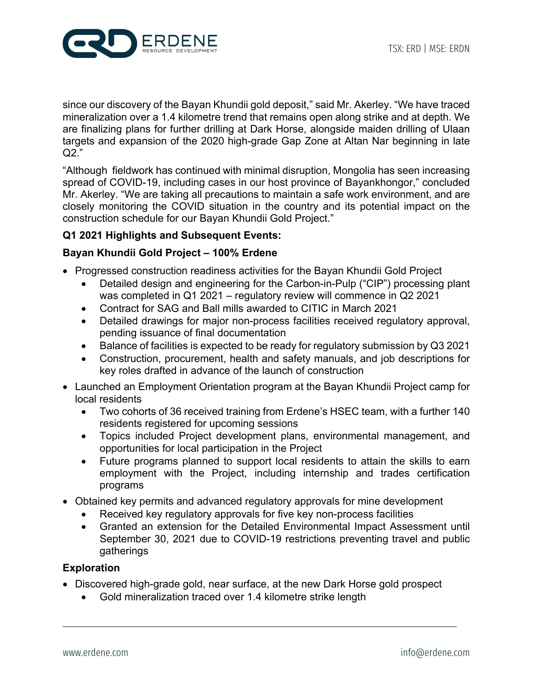

since our discovery of the Bayan Khundii gold deposit," said Mr. Akerley. "We have traced mineralization over a 1.4 kilometre trend that remains open along strike and at depth. We are finalizing plans for further drilling at Dark Horse, alongside maiden drilling of Ulaan targets and expansion of the 2020 high-grade Gap Zone at Altan Nar beginning in late Q2."

"Although fieldwork has continued with minimal disruption, Mongolia has seen increasing spread of COVID-19, including cases in our host province of Bayankhongor," concluded Mr. Akerley. "We are taking all precautions to maintain a safe work environment, and are closely monitoring the COVID situation in the country and its potential impact on the construction schedule for our Bayan Khundii Gold Project."

# **Q1 2021 Highlights and Subsequent Events:**

## **Bayan Khundii Gold Project – 100% Erdene**

- Progressed construction readiness activities for the Bayan Khundii Gold Project
	- Detailed design and engineering for the Carbon-in-Pulp ("CIP") processing plant was completed in Q1 2021 – regulatory review will commence in Q2 2021
	- Contract for SAG and Ball mills awarded to CITIC in March 2021
	- Detailed drawings for major non-process facilities received regulatory approval, pending issuance of final documentation
	- Balance of facilities is expected to be ready for regulatory submission by Q3 2021
	- Construction, procurement, health and safety manuals, and job descriptions for key roles drafted in advance of the launch of construction
- Launched an Employment Orientation program at the Bayan Khundii Project camp for local residents
	- Two cohorts of 36 received training from Erdene's HSEC team, with a further 140 residents registered for upcoming sessions
	- Topics included Project development plans, environmental management, and opportunities for local participation in the Project
	- Future programs planned to support local residents to attain the skills to earn employment with the Project, including internship and trades certification programs
- Obtained key permits and advanced regulatory approvals for mine development
	- Received key regulatory approvals for five key non-process facilities
	- Granted an extension for the Detailed Environmental Impact Assessment until September 30, 2021 due to COVID-19 restrictions preventing travel and public gatherings

#### **Exploration**

- Discovered high-grade gold, near surface, at the new Dark Horse gold prospect
	- Gold mineralization traced over 1.4 kilometre strike length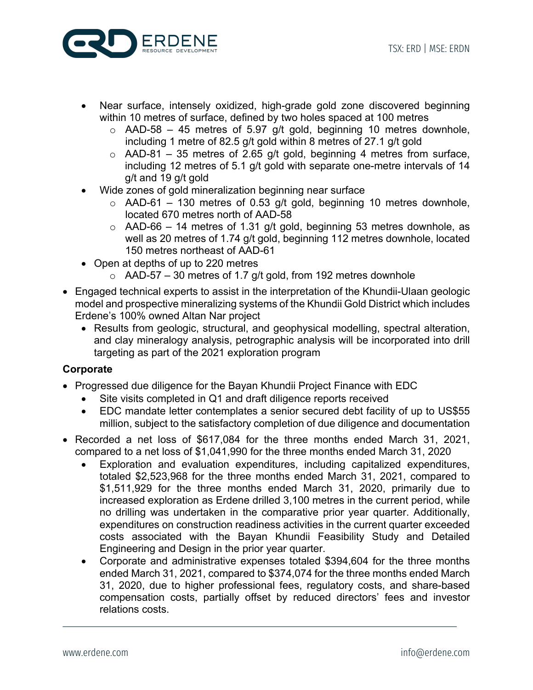

- Near surface, intensely oxidized, high-grade gold zone discovered beginning within 10 metres of surface, defined by two holes spaced at 100 metres
	- $\circ$  AAD-58 45 metres of 5.97 g/t gold, beginning 10 metres downhole, including 1 metre of 82.5 g/t gold within 8 metres of 27.1 g/t gold
	- $\circ$  AAD-81 35 metres of 2.65 g/t gold, beginning 4 metres from surface, including 12 metres of 5.1 g/t gold with separate one-metre intervals of 14 g/t and 19 g/t gold
- Wide zones of gold mineralization beginning near surface
	- $\circ$  AAD-61 130 metres of 0.53 g/t gold, beginning 10 metres downhole, located 670 metres north of AAD-58
	- $\circ$  AAD-66 14 metres of 1.31 g/t gold, beginning 53 metres downhole, as well as 20 metres of 1.74 g/t gold, beginning 112 metres downhole, located 150 metres northeast of AAD-61
- Open at depths of up to 220 metres
	- $\circ$  AAD-57 30 metres of 1.7 g/t gold, from 192 metres downhole
- Engaged technical experts to assist in the interpretation of the Khundii-Ulaan geologic model and prospective mineralizing systems of the Khundii Gold District which includes Erdene's 100% owned Altan Nar project
	- Results from geologic, structural, and geophysical modelling, spectral alteration, and clay mineralogy analysis, petrographic analysis will be incorporated into drill targeting as part of the 2021 exploration program

## **Corporate**

- Progressed due diligence for the Bayan Khundii Project Finance with EDC
	- Site visits completed in Q1 and draft diligence reports received
	- EDC mandate letter contemplates a senior secured debt facility of up to US\$55 million, subject to the satisfactory completion of due diligence and documentation
- Recorded a net loss of \$617,084 for the three months ended March 31, 2021, compared to a net loss of \$1,041,990 for the three months ended March 31, 2020
	- Exploration and evaluation expenditures, including capitalized expenditures, totaled \$2,523,968 for the three months ended March 31, 2021, compared to \$1,511,929 for the three months ended March 31, 2020, primarily due to increased exploration as Erdene drilled 3,100 metres in the current period, while no drilling was undertaken in the comparative prior year quarter. Additionally, expenditures on construction readiness activities in the current quarter exceeded costs associated with the Bayan Khundii Feasibility Study and Detailed Engineering and Design in the prior year quarter.
	- Corporate and administrative expenses totaled \$394,604 for the three months ended March 31, 2021, compared to \$374,074 for the three months ended March 31, 2020, due to higher professional fees, regulatory costs, and share-based compensation costs, partially offset by reduced directors' fees and investor relations costs.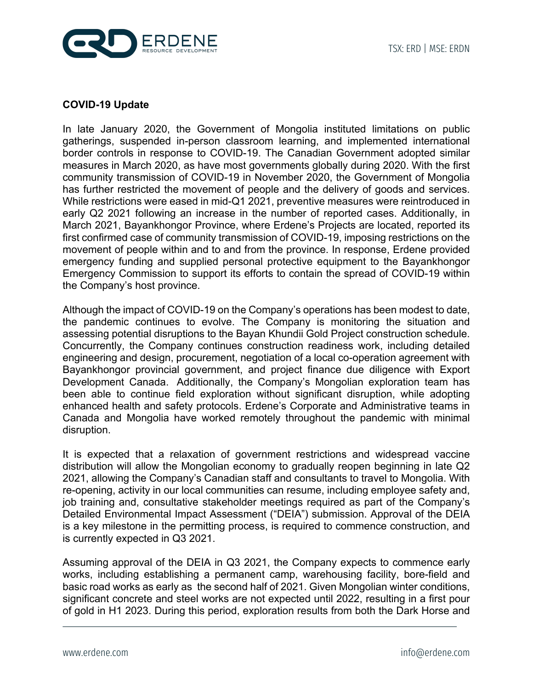



## **COVID-19 Update**

In late January 2020, the Government of Mongolia instituted limitations on public gatherings, suspended in-person classroom learning, and implemented international border controls in response to COVID-19. The Canadian Government adopted similar measures in March 2020, as have most governments globally during 2020. With the first community transmission of COVID-19 in November 2020, the Government of Mongolia has further restricted the movement of people and the delivery of goods and services. While restrictions were eased in mid-Q1 2021, preventive measures were reintroduced in early Q2 2021 following an increase in the number of reported cases. Additionally, in March 2021, Bayankhongor Province, where Erdene's Projects are located, reported its first confirmed case of community transmission of COVID-19, imposing restrictions on the movement of people within and to and from the province. In response, Erdene provided emergency funding and supplied personal protective equipment to the Bayankhongor Emergency Commission to support its efforts to contain the spread of COVID-19 within the Company's host province.

Although the impact of COVID-19 on the Company's operations has been modest to date, the pandemic continues to evolve. The Company is monitoring the situation and assessing potential disruptions to the Bayan Khundii Gold Project construction schedule. Concurrently, the Company continues construction readiness work, including detailed engineering and design, procurement, negotiation of a local co-operation agreement with Bayankhongor provincial government, and project finance due diligence with Export Development Canada. Additionally, the Company's Mongolian exploration team has been able to continue field exploration without significant disruption, while adopting enhanced health and safety protocols. Erdene's Corporate and Administrative teams in Canada and Mongolia have worked remotely throughout the pandemic with minimal disruption.

It is expected that a relaxation of government restrictions and widespread vaccine distribution will allow the Mongolian economy to gradually reopen beginning in late Q2 2021, allowing the Company's Canadian staff and consultants to travel to Mongolia. With re-opening, activity in our local communities can resume, including employee safety and, job training and, consultative stakeholder meetings required as part of the Company's Detailed Environmental Impact Assessment ("DEIA") submission. Approval of the DEIA is a key milestone in the permitting process, is required to commence construction, and is currently expected in Q3 2021.

Assuming approval of the DEIA in Q3 2021, the Company expects to commence early works, including establishing a permanent camp, warehousing facility, bore-field and basic road works as early as the second half of 2021. Given Mongolian winter conditions, significant concrete and steel works are not expected until 2022, resulting in a first pour of gold in H1 2023. During this period, exploration results from both the Dark Horse and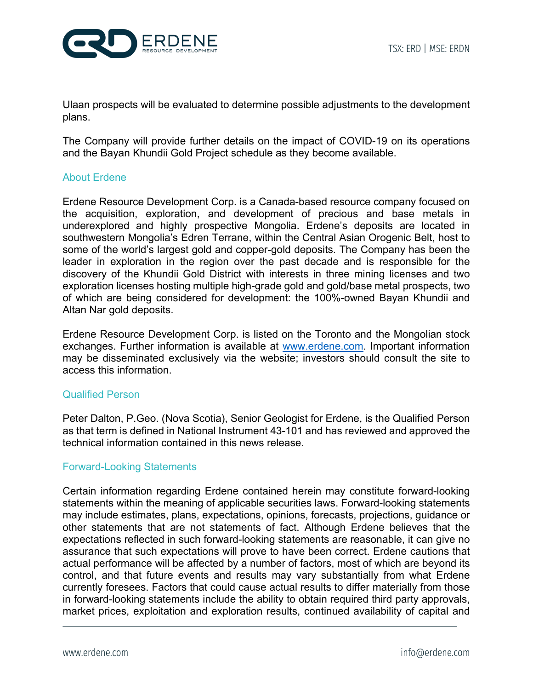

Ulaan prospects will be evaluated to determine possible adjustments to the development plans.

The Company will provide further details on the impact of COVID-19 on its operations and the Bayan Khundii Gold Project schedule as they become available.

#### About Erdene

Erdene Resource Development Corp. is a Canada-based resource company focused on the acquisition, exploration, and development of precious and base metals in underexplored and highly prospective Mongolia. Erdene's deposits are located in southwestern Mongolia's Edren Terrane, within the Central Asian Orogenic Belt, host to some of the world's largest gold and copper-gold deposits. The Company has been the leader in exploration in the region over the past decade and is responsible for the discovery of the Khundii Gold District with interests in three mining licenses and two exploration licenses hosting multiple high-grade gold and gold/base metal prospects, two of which are being considered for development: the 100%-owned Bayan Khundii and Altan Nar gold deposits.

Erdene Resource Development Corp. is listed on the Toronto and the Mongolian stock exchanges. Further information is available at www.erdene.com. Important information may be disseminated exclusively via the website; investors should consult the site to access this information.

#### Qualified Person

Peter Dalton, P.Geo. (Nova Scotia), Senior Geologist for Erdene, is the Qualified Person as that term is defined in National Instrument 43-101 and has reviewed and approved the technical information contained in this news release.

## Forward-Looking Statements

Certain information regarding Erdene contained herein may constitute forward-looking statements within the meaning of applicable securities laws. Forward-looking statements may include estimates, plans, expectations, opinions, forecasts, projections, guidance or other statements that are not statements of fact. Although Erdene believes that the expectations reflected in such forward-looking statements are reasonable, it can give no assurance that such expectations will prove to have been correct. Erdene cautions that actual performance will be affected by a number of factors, most of which are beyond its control, and that future events and results may vary substantially from what Erdene currently foresees. Factors that could cause actual results to differ materially from those in forward-looking statements include the ability to obtain required third party approvals, market prices, exploitation and exploration results, continued availability of capital and